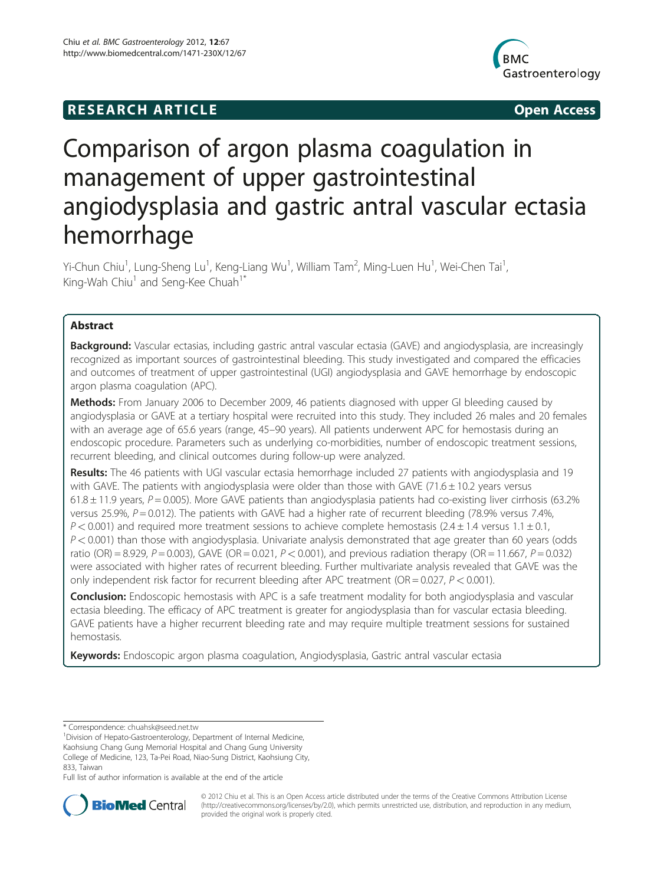# **RESEARCH ARTICLE Example 2014 12:30 The SEAR CHA RESEARCH ARTICLE**



# Comparison of argon plasma coagulation in management of upper gastrointestinal angiodysplasia and gastric antral vascular ectasia hemorrhage

Yi-Chun Chiu<sup>1</sup>, Lung-Sheng Lu<sup>1</sup>, Keng-Liang Wu<sup>1</sup>, William Tam<sup>2</sup>, Ming-Luen Hu<sup>1</sup>, Wei-Chen Tai<sup>1</sup> , King-Wah Chiu<sup>1</sup> and Seng-Kee Chuah<sup>1\*</sup>

# Abstract

Background: Vascular ectasias, including gastric antral vascular ectasia (GAVE) and angiodysplasia, are increasingly recognized as important sources of gastrointestinal bleeding. This study investigated and compared the efficacies and outcomes of treatment of upper gastrointestinal (UGI) angiodysplasia and GAVE hemorrhage by endoscopic argon plasma coagulation (APC).

Methods: From January 2006 to December 2009, 46 patients diagnosed with upper GI bleeding caused by angiodysplasia or GAVE at a tertiary hospital were recruited into this study. They included 26 males and 20 females with an average age of 65.6 years (range, 45–90 years). All patients underwent APC for hemostasis during an endoscopic procedure. Parameters such as underlying co-morbidities, number of endoscopic treatment sessions, recurrent bleeding, and clinical outcomes during follow-up were analyzed.

Results: The 46 patients with UGI vascular ectasia hemorrhage included 27 patients with angiodysplasia and 19 with GAVE. The patients with angiodysplasia were older than those with GAVE (71.6  $\pm$  10.2 years versus 61.8  $\pm$  11.9 years, P = 0.005). More GAVE patients than angiodysplasia patients had co-existing liver cirrhosis (63.2% versus 25.9%,  $P = 0.012$ ). The patients with GAVE had a higher rate of recurrent bleeding (78.9% versus 7.4%,  $P < 0.001$ ) and required more treatment sessions to achieve complete hemostasis (2.4 ± 1.4 versus 1.1 ± 0.1,  $P < 0.001$ ) than those with angiodysplasia. Univariate analysis demonstrated that age greater than 60 years (odds ratio (OR) = 8.929, P = 0.003), GAVE (OR = 0.021, P < 0.001), and previous radiation therapy (OR = 11.667, P = 0.032) were associated with higher rates of recurrent bleeding. Further multivariate analysis revealed that GAVE was the only independent risk factor for recurrent bleeding after APC treatment ( $OR = 0.027$ ,  $P < 0.001$ ).

**Conclusion:** Endoscopic hemostasis with APC is a safe treatment modality for both angiodysplasia and vascular ectasia bleeding. The efficacy of APC treatment is greater for angiodysplasia than for vascular ectasia bleeding. GAVE patients have a higher recurrent bleeding rate and may require multiple treatment sessions for sustained hemostasis.

Keywords: Endoscopic argon plasma coagulation, Angiodysplasia, Gastric antral vascular ectasia

<sup>1</sup> Division of Hepato-Gastroenterology, Department of Internal Medicine, Kaohsiung Chang Gung Memorial Hospital and Chang Gung University College of Medicine, 123, Ta-Pei Road, Niao-Sung District, Kaohsiung City,

833, Taiwan

Full list of author information is available at the end of the article



© 2012 Chiu et al. This is an Open Access article distributed under the terms of the Creative Commons Attribution License [\(http://creativecommons.org/licenses/by/2.0\)](http://creativecommons.org/licenses/by/2.0), which permits unrestricted use, distribution, and reproduction in any medium, provided the original work is properly cited.

<sup>\*</sup> Correspondence: [chuahsk@seed.net.tw](mailto:chuahsk@seed.net.tw) <sup>1</sup>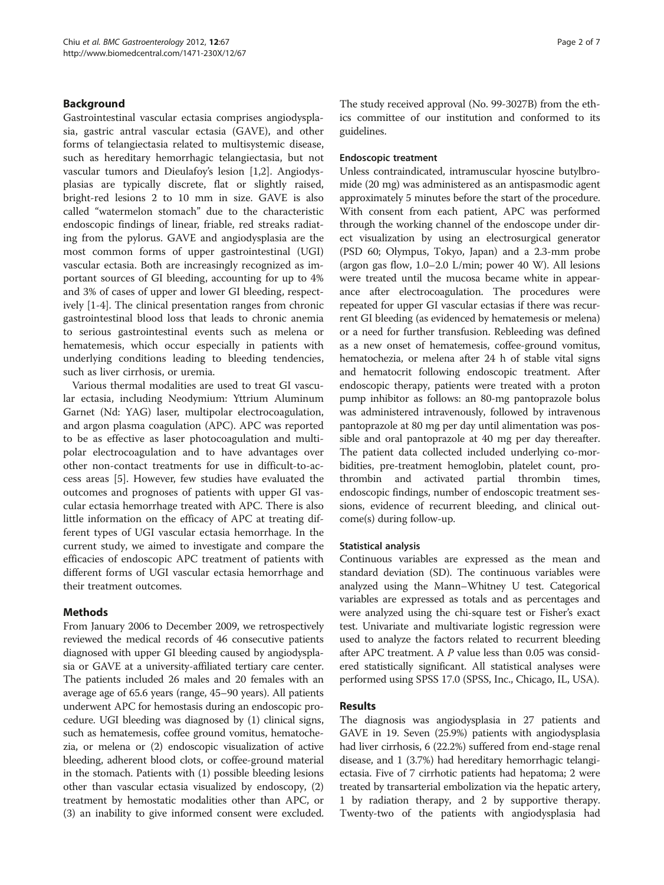# Background

Gastrointestinal vascular ectasia comprises angiodysplasia, gastric antral vascular ectasia (GAVE), and other forms of telangiectasia related to multisystemic disease, such as hereditary hemorrhagic telangiectasia, but not vascular tumors and Dieulafoy's lesion [\[1,2\]](#page-5-0). Angiodysplasias are typically discrete, flat or slightly raised, bright-red lesions 2 to 10 mm in size. GAVE is also called "watermelon stomach" due to the characteristic endoscopic findings of linear, friable, red streaks radiating from the pylorus. GAVE and angiodysplasia are the most common forms of upper gastrointestinal (UGI) vascular ectasia. Both are increasingly recognized as important sources of GI bleeding, accounting for up to 4% and 3% of cases of upper and lower GI bleeding, respectively [\[1](#page-5-0)-[4\]](#page-5-0). The clinical presentation ranges from chronic gastrointestinal blood loss that leads to chronic anemia to serious gastrointestinal events such as melena or hematemesis, which occur especially in patients with underlying conditions leading to bleeding tendencies, such as liver cirrhosis, or uremia.

Various thermal modalities are used to treat GI vascular ectasia, including Neodymium: Yttrium Aluminum Garnet (Nd: YAG) laser, multipolar electrocoagulation, and argon plasma coagulation (APC). APC was reported to be as effective as laser photocoagulation and multipolar electrocoagulation and to have advantages over other non-contact treatments for use in difficult-to-access areas [\[5](#page-5-0)]. However, few studies have evaluated the outcomes and prognoses of patients with upper GI vascular ectasia hemorrhage treated with APC. There is also little information on the efficacy of APC at treating different types of UGI vascular ectasia hemorrhage. In the current study, we aimed to investigate and compare the efficacies of endoscopic APC treatment of patients with different forms of UGI vascular ectasia hemorrhage and their treatment outcomes.

# Methods

From January 2006 to December 2009, we retrospectively reviewed the medical records of 46 consecutive patients diagnosed with upper GI bleeding caused by angiodysplasia or GAVE at a university-affiliated tertiary care center. The patients included 26 males and 20 females with an average age of 65.6 years (range, 45–90 years). All patients underwent APC for hemostasis during an endoscopic procedure. UGI bleeding was diagnosed by (1) clinical signs, such as hematemesis, coffee ground vomitus, hematochezia, or melena or (2) endoscopic visualization of active bleeding, adherent blood clots, or coffee-ground material in the stomach. Patients with (1) possible bleeding lesions other than vascular ectasia visualized by endoscopy, (2) treatment by hemostatic modalities other than APC, or (3) an inability to give informed consent were excluded. The study received approval (No. 99-3027B) from the ethics committee of our institution and conformed to its guidelines.

### Endoscopic treatment

Unless contraindicated, intramuscular hyoscine butylbromide (20 mg) was administered as an antispasmodic agent approximately 5 minutes before the start of the procedure. With consent from each patient, APC was performed through the working channel of the endoscope under direct visualization by using an electrosurgical generator (PSD 60; Olympus, Tokyo, Japan) and a 2.3-mm probe (argon gas flow, 1.0–2.0 L/min; power 40 W). All lesions were treated until the mucosa became white in appearance after electrocoagulation. The procedures were repeated for upper GI vascular ectasias if there was recurrent GI bleeding (as evidenced by hematemesis or melena) or a need for further transfusion. Rebleeding was defined as a new onset of hematemesis, coffee-ground vomitus, hematochezia, or melena after 24 h of stable vital signs and hematocrit following endoscopic treatment. After endoscopic therapy, patients were treated with a proton pump inhibitor as follows: an 80-mg pantoprazole bolus was administered intravenously, followed by intravenous pantoprazole at 80 mg per day until alimentation was possible and oral pantoprazole at 40 mg per day thereafter. The patient data collected included underlying co-morbidities, pre-treatment hemoglobin, platelet count, prothrombin and activated partial thrombin times, endoscopic findings, number of endoscopic treatment sessions, evidence of recurrent bleeding, and clinical outcome(s) during follow-up.

#### Statistical analysis

Continuous variables are expressed as the mean and standard deviation (SD). The continuous variables were analyzed using the Mann–Whitney U test. Categorical variables are expressed as totals and as percentages and were analyzed using the chi-square test or Fisher's exact test. Univariate and multivariate logistic regression were used to analyze the factors related to recurrent bleeding after APC treatment. A  $P$  value less than 0.05 was considered statistically significant. All statistical analyses were performed using SPSS 17.0 (SPSS, Inc., Chicago, IL, USA).

# Results

The diagnosis was angiodysplasia in 27 patients and GAVE in 19. Seven (25.9%) patients with angiodysplasia had liver cirrhosis, 6 (22.2%) suffered from end-stage renal disease, and 1 (3.7%) had hereditary hemorrhagic telangiectasia. Five of 7 cirrhotic patients had hepatoma; 2 were treated by transarterial embolization via the hepatic artery, 1 by radiation therapy, and 2 by supportive therapy. Twenty-two of the patients with angiodysplasia had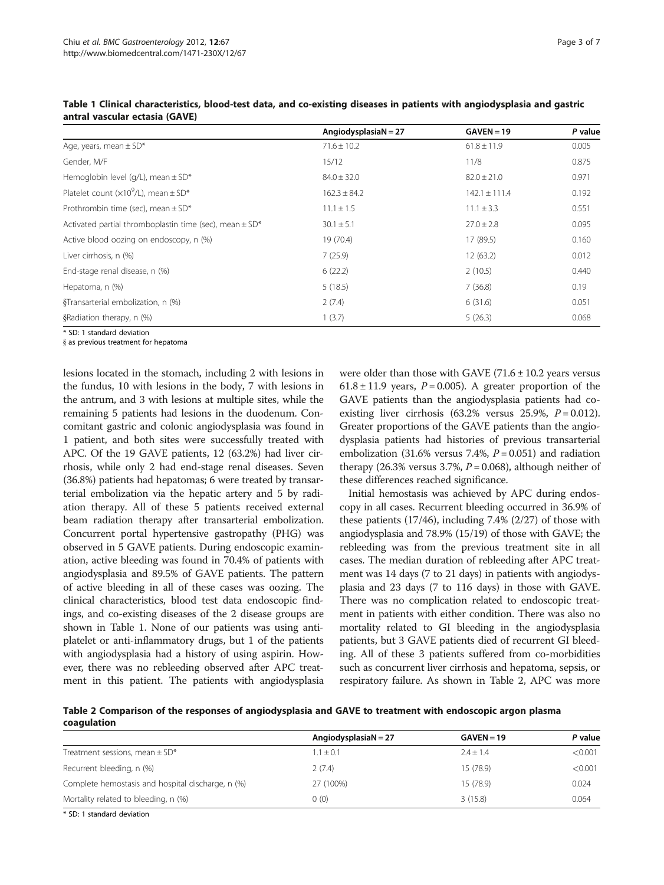|                                                                | Angiodysplasia $N = 27$ | $GAVEN = 19$      | P value |
|----------------------------------------------------------------|-------------------------|-------------------|---------|
| Age, years, mean $\pm$ SD*                                     | $71.6 \pm 10.2$         | $61.8 \pm 11.9$   | 0.005   |
| Gender, M/F                                                    | 15/12                   | 11/8              | 0.875   |
| Hemoglobin level (g/L), mean $\pm$ SD*                         | $84.0 \pm 32.0$         | $82.0 \pm 21.0$   | 0.971   |
| Platelet count ( $\times 10^9$ /L), mean $\pm$ SD <sup>*</sup> | $162.3 \pm 84.2$        | $142.1 \pm 111.4$ | 0.192   |
| Prothrombin time (sec), mean $\pm$ SD*                         | $11.1 \pm 1.5$          | $11.1 \pm 3.3$    | 0.551   |
| Activated partial thromboplastin time (sec), mean $\pm$ SD*    | $30.1 \pm 5.1$          | $27.0 \pm 2.8$    | 0.095   |
| Active blood oozing on endoscopy, n (%)                        | 19 (70.4)               | 17 (89.5)         | 0.160   |
| Liver cirrhosis, n (%)                                         | 7(25.9)                 | 12(63.2)          | 0.012   |
| End-stage renal disease, n (%)                                 | 6(22.2)                 | 2(10.5)           | 0.440   |
| Hepatoma, n (%)                                                | 5(18.5)                 | 7(36.8)           | 0.19    |
| §Transarterial embolization, n (%)                             | 2(7.4)                  | 6(31.6)           | 0.051   |
| §Radiation therapy, n (%)                                      | 1(3.7)                  | 5(26.3)           | 0.068   |

Table 1 Clinical characteristics, blood-test data, and co-existing diseases in patients with angiodysplasia and gastric antral vascular ectasia (GAVE)

\* SD: 1 standard deviation

§ as previous treatment for hepatoma

lesions located in the stomach, including 2 with lesions in the fundus, 10 with lesions in the body, 7 with lesions in the antrum, and 3 with lesions at multiple sites, while the remaining 5 patients had lesions in the duodenum. Concomitant gastric and colonic angiodysplasia was found in 1 patient, and both sites were successfully treated with APC. Of the 19 GAVE patients, 12 (63.2%) had liver cirrhosis, while only 2 had end-stage renal diseases. Seven (36.8%) patients had hepatomas; 6 were treated by transarterial embolization via the hepatic artery and 5 by radiation therapy. All of these 5 patients received external beam radiation therapy after transarterial embolization. Concurrent portal hypertensive gastropathy (PHG) was observed in 5 GAVE patients. During endoscopic examination, active bleeding was found in 70.4% of patients with angiodysplasia and 89.5% of GAVE patients. The pattern of active bleeding in all of these cases was oozing. The clinical characteristics, blood test data endoscopic findings, and co-existing diseases of the 2 disease groups are shown in Table 1. None of our patients was using antiplatelet or anti-inflammatory drugs, but 1 of the patients with angiodysplasia had a history of using aspirin. However, there was no rebleeding observed after APC treatment in this patient. The patients with angiodysplasia were older than those with GAVE  $(71.6 \pm 10.2)$  years versus  $61.8 \pm 11.9$  years,  $P = 0.005$ ). A greater proportion of the GAVE patients than the angiodysplasia patients had coexisting liver cirrhosis (63.2% versus 25.9%,  $P = 0.012$ ). Greater proportions of the GAVE patients than the angiodysplasia patients had histories of previous transarterial embolization (31.6% versus 7.4%,  $P = 0.051$ ) and radiation therapy (26.3% versus 3.7%,  $P = 0.068$ ), although neither of these differences reached significance.

Initial hemostasis was achieved by APC during endoscopy in all cases. Recurrent bleeding occurred in 36.9% of these patients (17/46), including 7.4% (2/27) of those with angiodysplasia and 78.9% (15/19) of those with GAVE; the rebleeding was from the previous treatment site in all cases. The median duration of rebleeding after APC treatment was 14 days (7 to 21 days) in patients with angiodysplasia and 23 days (7 to 116 days) in those with GAVE. There was no complication related to endoscopic treatment in patients with either condition. There was also no mortality related to GI bleeding in the angiodysplasia patients, but 3 GAVE patients died of recurrent GI bleeding. All of these 3 patients suffered from co-morbidities such as concurrent liver cirrhosis and hepatoma, sepsis, or respiratory failure. As shown in Table 2, APC was more

Table 2 Comparison of the responses of angiodysplasia and GAVE to treatment with endoscopic argon plasma coagulation

|                                                   | Angiodysplasia $N = 27$ | $GAVEN = 19$ | P value |
|---------------------------------------------------|-------------------------|--------------|---------|
| Treatment sessions, mean $\pm$ SD*                | $1.1 \pm 0.1$           | $7.4 + 1.4$  | < 0.001 |
| Recurrent bleeding, n (%)                         | 2(7.4)                  | 15 (78.9)    | < 0.001 |
| Complete hemostasis and hospital discharge, n (%) | 27 (100%)               | 15 (78.9)    | 0.024   |
| Mortality related to bleeding, n (%)              | (0)                     | 3(15.8)      | 0.064   |

\* SD: 1 standard deviation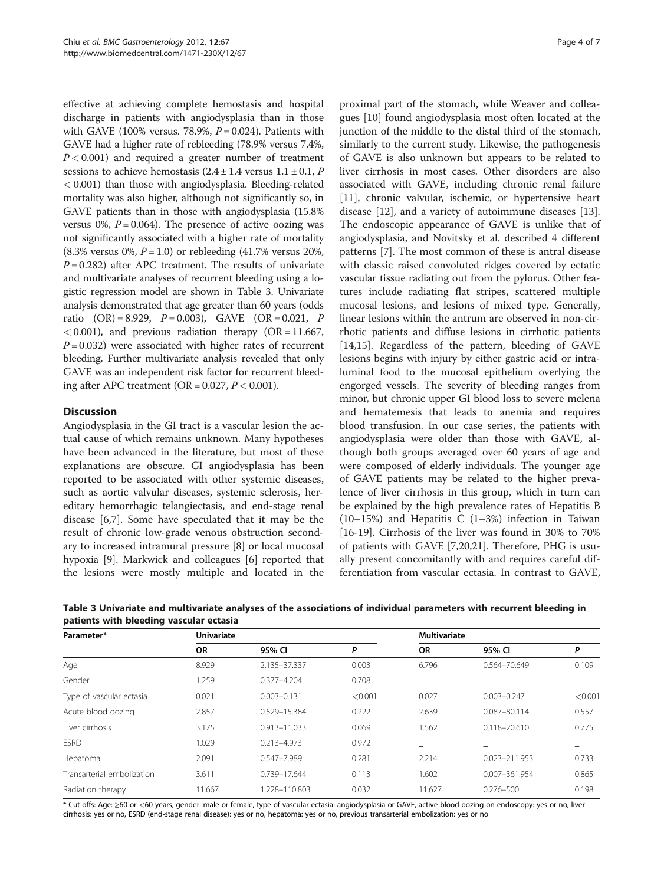effective at achieving complete hemostasis and hospital discharge in patients with angiodysplasia than in those with GAVE (100% versus. 78.9%,  $P = 0.024$ ). Patients with GAVE had a higher rate of rebleeding (78.9% versus 7.4%,  $P < 0.001$ ) and required a greater number of treatment sessions to achieve hemostasis  $(2.4 \pm 1.4 \text{ versus } 1.1 \pm 0.1, P)$ < 0.001) than those with angiodysplasia. Bleeding-related mortality was also higher, although not significantly so, in GAVE patients than in those with angiodysplasia (15.8% versus 0%,  $P = 0.064$ ). The presence of active oozing was not significantly associated with a higher rate of mortality  $(8.3\% \text{ versus } 0\%, P = 1.0) \text{ or rebleeding } (41.7\% \text{ versus } 20\%,$  $P = 0.282$ ) after APC treatment. The results of univariate and multivariate analyses of recurrent bleeding using a logistic regression model are shown in Table 3. Univariate analysis demonstrated that age greater than 60 years (odds ratio  $(OR) = 8.929$ ,  $P = 0.003$ ), GAVE  $(OR = 0.021, P)$  $< 0.001$ ), and previous radiation therapy (OR = 11.667,  $P = 0.032$ ) were associated with higher rates of recurrent bleeding. Further multivariate analysis revealed that only GAVE was an independent risk factor for recurrent bleeding after APC treatment (OR =  $0.027$ ,  $P < 0.001$ ).

# **Discussion**

Angiodysplasia in the GI tract is a vascular lesion the actual cause of which remains unknown. Many hypotheses have been advanced in the literature, but most of these explanations are obscure. GI angiodysplasia has been reported to be associated with other systemic diseases, such as aortic valvular diseases, systemic sclerosis, hereditary hemorrhagic telangiectasis, and end-stage renal disease [[6,7\]](#page-5-0). Some have speculated that it may be the result of chronic low-grade venous obstruction secondary to increased intramural pressure [[8\]](#page-5-0) or local mucosal hypoxia [[9\]](#page-5-0). Markwick and colleagues [\[6](#page-5-0)] reported that the lesions were mostly multiple and located in the

proximal part of the stomach, while Weaver and colleagues [\[10](#page-5-0)] found angiodysplasia most often located at the junction of the middle to the distal third of the stomach, similarly to the current study. Likewise, the pathogenesis of GAVE is also unknown but appears to be related to liver cirrhosis in most cases. Other disorders are also associated with GAVE, including chronic renal failure [[11\]](#page-5-0), chronic valvular, ischemic, or hypertensive heart disease [\[12](#page-5-0)], and a variety of autoimmune diseases [\[13](#page-5-0)]. The endoscopic appearance of GAVE is unlike that of angiodysplasia, and Novitsky et al. described 4 different patterns [\[7](#page-5-0)]. The most common of these is antral disease with classic raised convoluted ridges covered by ectatic vascular tissue radiating out from the pylorus. Other features include radiating flat stripes, scattered multiple mucosal lesions, and lesions of mixed type. Generally, linear lesions within the antrum are observed in non-cirrhotic patients and diffuse lesions in cirrhotic patients [[14,15\]](#page-5-0). Regardless of the pattern, bleeding of GAVE lesions begins with injury by either gastric acid or intraluminal food to the mucosal epithelium overlying the engorged vessels. The severity of bleeding ranges from minor, but chronic upper GI blood loss to severe melena and hematemesis that leads to anemia and requires blood transfusion. In our case series, the patients with angiodysplasia were older than those with GAVE, although both groups averaged over 60 years of age and were composed of elderly individuals. The younger age of GAVE patients may be related to the higher prevalence of liver cirrhosis in this group, which in turn can be explained by the high prevalence rates of Hepatitis B (10–15%) and Hepatitis C (1–3%) infection in Taiwan [[16-19](#page-5-0)]. Cirrhosis of the liver was found in 30% to 70% of patients with GAVE [[7](#page-5-0),[20](#page-5-0),[21](#page-5-0)]. Therefore, PHG is usually present concomitantly with and requires careful differentiation from vascular ectasia. In contrast to GAVE,

| Parameter*                 | <b>Univariate</b> |                  |         | <b>Multivariate</b> |                  |         |
|----------------------------|-------------------|------------------|---------|---------------------|------------------|---------|
|                            | <b>OR</b>         | 95% CI           | P       | <b>OR</b>           | 95% CI           | P       |
| Age                        | 8.929             | 2.135-37.337     | 0.003   | 6.796               | 0.564-70.649     | 0.109   |
| Gender                     | 1.259             | $0.377 - 4.204$  | 0.708   |                     |                  | -       |
| Type of vascular ectasia   | 0.021             | $0.003 - 0.131$  | < 0.001 | 0.027               | $0.003 - 0.247$  | < 0.001 |
| Acute blood oozing         | 2.857             | 0.529-15.384     | 0.222   | 2.639               | 0.087-80.114     | 0.557   |
| Liver cirrhosis            | 3.175             | $0.913 - 11.033$ | 0.069   | 1.562               | $0.118 - 20.610$ | 0.775   |
| <b>ESRD</b>                | 1.029             | $0.213 - 4.973$  | 0.972   |                     |                  | -       |
| Hepatoma                   | 2.091             | 0.547-7.989      | 0.281   | 2.214               | 0.023-211.953    | 0.733   |
| Transarterial embolization | 3.611             | 0.739-17.644     | 0.113   | 1.602               | 0.007-361.954    | 0.865   |
| Radiation therapy          | 11.667            | 1.228-110.803    | 0.032   | 11.627              | $0.276 - 500$    | 0.198   |

Table 3 Univariate and multivariate analyses of the associations of individual parameters with recurrent bleeding in patients with bleeding vascular ectasia

\* Cut-offs: Age: ≥60 or <60 years, gender: male or female, type of vascular ectasia: angiodysplasia or GAVE, active blood oozing on endoscopy: yes or no, liver cirrhosis: yes or no, ESRD (end-stage renal disease): yes or no, hepatoma: yes or no, previous transarterial embolization: yes or no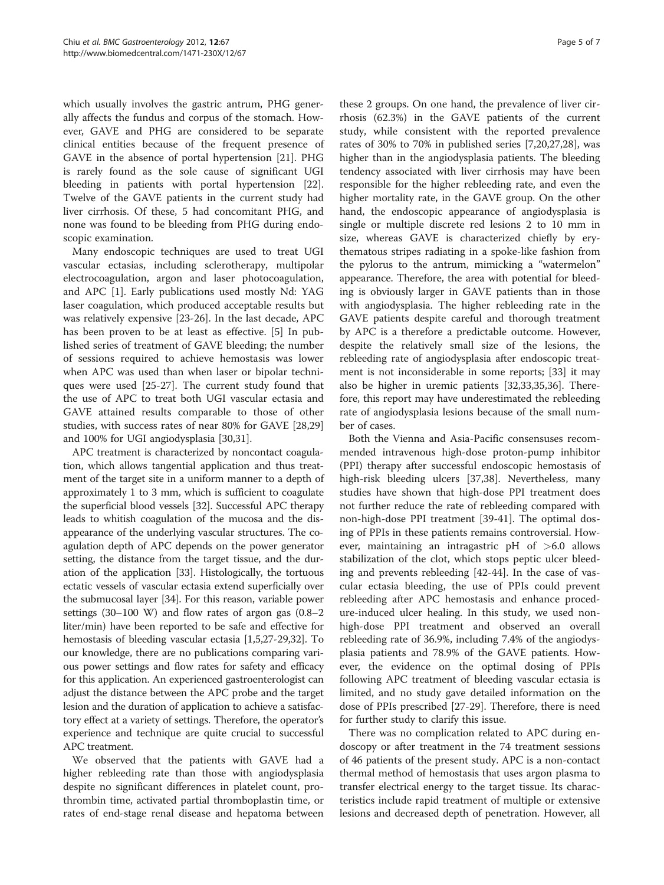which usually involves the gastric antrum, PHG generally affects the fundus and corpus of the stomach. However, GAVE and PHG are considered to be separate clinical entities because of the frequent presence of GAVE in the absence of portal hypertension [\[21\]](#page-5-0). PHG is rarely found as the sole cause of significant UGI bleeding in patients with portal hypertension [\[22](#page-5-0)]. Twelve of the GAVE patients in the current study had liver cirrhosis. Of these, 5 had concomitant PHG, and none was found to be bleeding from PHG during endoscopic examination.

Many endoscopic techniques are used to treat UGI vascular ectasias, including sclerotherapy, multipolar electrocoagulation, argon and laser photocoagulation, and APC [[1\]](#page-5-0). Early publications used mostly Nd: YAG laser coagulation, which produced acceptable results but was relatively expensive [[23-26\]](#page-6-0). In the last decade, APC has been proven to be at least as effective. [\[5](#page-5-0)] In published series of treatment of GAVE bleeding; the number of sessions required to achieve hemostasis was lower when APC was used than when laser or bipolar techniques were used [[25](#page-6-0)-[27\]](#page-6-0). The current study found that the use of APC to treat both UGI vascular ectasia and GAVE attained results comparable to those of other studies, with success rates of near 80% for GAVE [[28](#page-6-0),[29](#page-6-0)] and 100% for UGI angiodysplasia [\[30,31\]](#page-6-0).

APC treatment is characterized by noncontact coagulation, which allows tangential application and thus treatment of the target site in a uniform manner to a depth of approximately 1 to 3 mm, which is sufficient to coagulate the superficial blood vessels [[32](#page-6-0)]. Successful APC therapy leads to whitish coagulation of the mucosa and the disappearance of the underlying vascular structures. The coagulation depth of APC depends on the power generator setting, the distance from the target tissue, and the duration of the application [[33](#page-6-0)]. Histologically, the tortuous ectatic vessels of vascular ectasia extend superficially over the submucosal layer [[34](#page-6-0)]. For this reason, variable power settings (30–100 W) and flow rates of argon gas (0.8–2 liter/min) have been reported to be safe and effective for hemostasis of bleeding vascular ectasia [\[1,5,](#page-5-0)[27-29,32](#page-6-0)]. To our knowledge, there are no publications comparing various power settings and flow rates for safety and efficacy for this application. An experienced gastroenterologist can adjust the distance between the APC probe and the target lesion and the duration of application to achieve a satisfactory effect at a variety of settings. Therefore, the operator's experience and technique are quite crucial to successful APC treatment.

We observed that the patients with GAVE had a higher rebleeding rate than those with angiodysplasia despite no significant differences in platelet count, prothrombin time, activated partial thromboplastin time, or rates of end-stage renal disease and hepatoma between

these 2 groups. On one hand, the prevalence of liver cirrhosis (62.3%) in the GAVE patients of the current study, while consistent with the reported prevalence rates of 30% to 70% in published series [[7,20,](#page-5-0)[27,28\]](#page-6-0), was higher than in the angiodysplasia patients. The bleeding tendency associated with liver cirrhosis may have been responsible for the higher rebleeding rate, and even the higher mortality rate, in the GAVE group. On the other hand, the endoscopic appearance of angiodysplasia is single or multiple discrete red lesions 2 to 10 mm in size, whereas GAVE is characterized chiefly by erythematous stripes radiating in a spoke-like fashion from the pylorus to the antrum, mimicking a "watermelon" appearance. Therefore, the area with potential for bleeding is obviously larger in GAVE patients than in those with angiodysplasia. The higher rebleeding rate in the GAVE patients despite careful and thorough treatment by APC is a therefore a predictable outcome. However, despite the relatively small size of the lesions, the rebleeding rate of angiodysplasia after endoscopic treatment is not inconsiderable in some reports; [\[33](#page-6-0)] it may also be higher in uremic patients [\[32,33,35,36\]](#page-6-0). Therefore, this report may have underestimated the rebleeding rate of angiodysplasia lesions because of the small number of cases.

Both the Vienna and Asia-Pacific consensuses recommended intravenous high-dose proton-pump inhibitor (PPI) therapy after successful endoscopic hemostasis of high-risk bleeding ulcers [[37,38\]](#page-6-0). Nevertheless, many studies have shown that high-dose PPI treatment does not further reduce the rate of rebleeding compared with non-high-dose PPI treatment [\[39](#page-6-0)-[41\]](#page-6-0). The optimal dosing of PPIs in these patients remains controversial. However, maintaining an intragastric pH of  $>6.0$  allows stabilization of the clot, which stops peptic ulcer bleeding and prevents rebleeding [[42-44\]](#page-6-0). In the case of vascular ectasia bleeding, the use of PPIs could prevent rebleeding after APC hemostasis and enhance procedure-induced ulcer healing. In this study, we used nonhigh-dose PPI treatment and observed an overall rebleeding rate of 36.9%, including 7.4% of the angiodysplasia patients and 78.9% of the GAVE patients. However, the evidence on the optimal dosing of PPIs following APC treatment of bleeding vascular ectasia is limited, and no study gave detailed information on the dose of PPIs prescribed [[27-29](#page-6-0)]. Therefore, there is need for further study to clarify this issue.

There was no complication related to APC during endoscopy or after treatment in the 74 treatment sessions of 46 patients of the present study. APC is a non-contact thermal method of hemostasis that uses argon plasma to transfer electrical energy to the target tissue. Its characteristics include rapid treatment of multiple or extensive lesions and decreased depth of penetration. However, all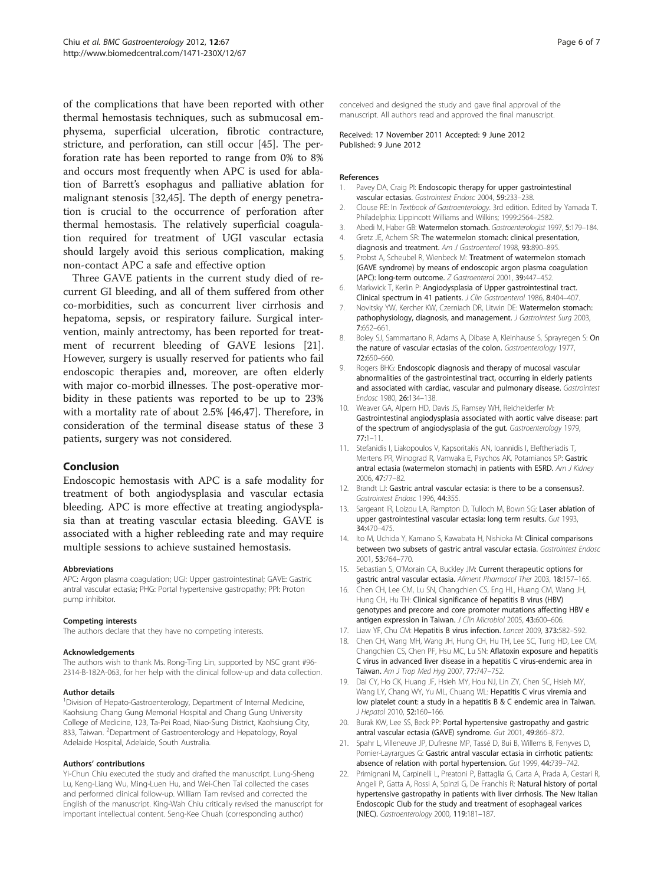<span id="page-5-0"></span>of the complications that have been reported with other thermal hemostasis techniques, such as submucosal emphysema, superficial ulceration, fibrotic contracture, stricture, and perforation, can still occur [[45](#page-6-0)]. The perforation rate has been reported to range from 0% to 8% and occurs most frequently when APC is used for ablation of Barrett's esophagus and palliative ablation for malignant stenosis [\[32,45\]](#page-6-0). The depth of energy penetration is crucial to the occurrence of perforation after thermal hemostasis. The relatively superficial coagulation required for treatment of UGI vascular ectasia should largely avoid this serious complication, making non-contact APC a safe and effective option

Three GAVE patients in the current study died of recurrent GI bleeding, and all of them suffered from other co-morbidities, such as concurrent liver cirrhosis and hepatoma, sepsis, or respiratory failure. Surgical intervention, mainly antrectomy, has been reported for treatment of recurrent bleeding of GAVE lesions [21]. However, surgery is usually reserved for patients who fail endoscopic therapies and, moreover, are often elderly with major co-morbid illnesses. The post-operative morbidity in these patients was reported to be up to 23% with a mortality rate of about 2.5% [[46,47\]](#page-6-0). Therefore, in consideration of the terminal disease status of these 3 patients, surgery was not considered.

#### Conclusion

Endoscopic hemostasis with APC is a safe modality for treatment of both angiodysplasia and vascular ectasia bleeding. APC is more effective at treating angiodysplasia than at treating vascular ectasia bleeding. GAVE is associated with a higher rebleeding rate and may require multiple sessions to achieve sustained hemostasis.

#### Abbreviations

APC: Argon plasma coagulation; UGI: Upper gastrointestinal; GAVE: Gastric antral vascular ectasia; PHG: Portal hypertensive gastropathy; PPI: Proton pump inhibitor.

#### Competing interests

The authors declare that they have no competing interests.

#### Acknowledgements

The authors wish to thank Ms. Rong-Ting Lin, supported by NSC grant #96- 2314-B-182A-063, for her help with the clinical follow-up and data collection.

#### Author details

<sup>1</sup> Division of Hepato-Gastroenterology, Department of Internal Medicine, Kaohsiung Chang Gung Memorial Hospital and Chang Gung University College of Medicine, 123, Ta-Pei Road, Niao-Sung District, Kaohsiung City, 833, Taiwan. <sup>2</sup>Department of Gastroenterology and Hepatology, Royal Adelaide Hospital, Adelaide, South Australia.

#### Authors' contributions

Yi-Chun Chiu executed the study and drafted the manuscript. Lung-Sheng Lu, Keng-Liang Wu, Ming-Luen Hu, and Wei-Chen Tai collected the cases and performed clinical follow-up. William Tam revised and corrected the English of the manuscript. King-Wah Chiu critically revised the manuscript for important intellectual content. Seng-Kee Chuah (corresponding author)

conceived and designed the study and gave final approval of the manuscript. All authors read and approved the final manuscript.

Received: 17 November 2011 Accepted: 9 June 2012 Published: 9 June 2012

#### References

- Pavey DA, Craig PI: Endoscopic therapy for upper gastrointestinal vascular ectasias. Gastrointest Endosc 2004, 59:233–238.
- 2. Clouse RE: In Textbook of Gastroenterology. 3rd edition. Edited by Yamada T. Philadelphia: Lippincott Williams and Wilkins; 1999:2564–2582.
- 3. Abedi M, Haber GB: Watermelon stomach. Gastroenterologist 1997, 5:179-184.
- 4. Gretz JE, Achem SR: The watermelon stomach: clinical presentation, diagnosis and treatment. Am J Gastroenterol 1998, 93:890–895.
- 5. Probst A, Scheubel R, Wienbeck M: Treatment of watermelon stomach (GAVE syndrome) by means of endoscopic argon plasma coagulation (APC): long-term outcome. Z Gastroenterol 2001, 39:447–452.
- 6. Markwick T, Kerlin P: Angiodysplasia of Upper gastrointestinal tract. Clinical spectrum in 41 patients. J Clin Gastroenterol 1986, 8:404–407.
- 7. Novitsky YW, Kercher KW, Czerniach DR, Litwin DE: Watermelon stomach: pathophysiology, diagnosis, and management. J Gastrointest Surg 2003, 7:652–661.
- 8. Boley SJ, Sammartano R, Adams A, Dibase A, Kleinhause S, Sprayregen S: On the nature of vascular ectasias of the colon. Gastroenterology 1977, 72:650–660.
- 9. Rogers BHG: Endoscopic diagnosis and therapy of mucosal vascular abnormalities of the gastrointestinal tract, occurring in elderly patients and associated with cardiac, vascular and pulmonary disease. Gastrointest Endosc 1980, 26:134–138.
- 10. Weaver GA, Alpern HD, Davis JS, Ramsey WH, Reichelderfer M: Gastrointestinal angiodysplasia associated with aortic valve disease: part of the spectrum of angiodysplasia of the gut. Gastroenterology 1979, 77:1–11.
- 11. Stefanidis I, Liakopoulos V, Kapsoritakis AN, Ioannidis I, Eleftheriadis T, Mertens PR, Winograd R, Vamvaka E, Psychos AK, Potamianos SP: Gastric antral ectasia (watermelon stomach) in patients with ESRD. Am J Kidney 2006, 47:77–82.
- 12. Brandt LJ: Gastric antral vascular ectasia: is there to be a consensus?. Gastrointest Endosc 1996, 44:355.
- 13. Sargeant IR, Loizou LA, Rampton D, Tulloch M, Bown SG: Laser ablation of upper gastrointestinal vascular ectasia: long term results. Gut 1993, 34:470–475.
- 14. Ito M, Uchida Y, Kamano S, Kawabata H, Nishioka M: Clinical comparisons between two subsets of gastric antral vascular ectasia. Gastrointest Endosc 2001, 53:764–770.
- 15. Sebastian S, O'Morain CA, Buckley JM: Current therapeutic options for gastric antral vascular ectasia. Aliment Pharmacol Ther 2003, 18:157–165.
- 16. Chen CH, Lee CM, Lu SN, Changchien CS, Eng HL, Huang CM, Wang JH, Hung CH, Hu TH: Clinical significance of hepatitis B virus (HBV) genotypes and precore and core promoter mutations affecting HBV e antigen expression in Taiwan. J Clin Microbiol 2005, 43:600–606.
- 17. Liaw YF, Chu CM: Hepatitis B virus infection. Lancet 2009, 373:582-592.
- 18. Chen CH, Wang MH, Wang JH, Hung CH, Hu TH, Lee SC, Tung HD, Lee CM, Changchien CS, Chen PF, Hsu MC, Lu SN: Aflatoxin exposure and hepatitis C virus in advanced liver disease in a hepatitis C virus-endemic area in Taiwan. Am J Trop Med Hyg 2007, 77:747-752.
- 19. Dai CY, Ho CK, Huang JF, Hsieh MY, Hou NJ, Lin ZY, Chen SC, Hsieh MY, Wang LY, Chang WY, Yu ML, Chuang WL: Hepatitis C virus viremia and low platelet count: a study in a hepatitis B & C endemic area in Taiwan. J Hepatol 2010, 52:160–166.
- 20. Burak KW, Lee SS, Beck PP: Portal hypertensive gastropathy and gastric antral vascular ectasia (GAVE) syndrome. Gut 2001, 49:866-872.
- 21. Spahr L, Villeneuve JP, Dufresne MP, Tassé D, Bui B, Willems B, Fenyves D, Pomier-Layrargues G: Gastric antral vascular ectasia in cirrhotic patients: absence of relation with portal hypertension. Gut 1999, 44:739–742.
- 22. Primignani M, Carpinelli L, Preatoni P, Battaglia G, Carta A, Prada A, Cestari R, Angeli P, Gatta A, Rossi A, Spinzi G, De Franchis R: Natural history of portal hypertensive gastropathy in patients with liver cirrhosis. The New Italian Endoscopic Club for the study and treatment of esophageal varices (NIEC). Gastroenterology 2000, 119:181–187.